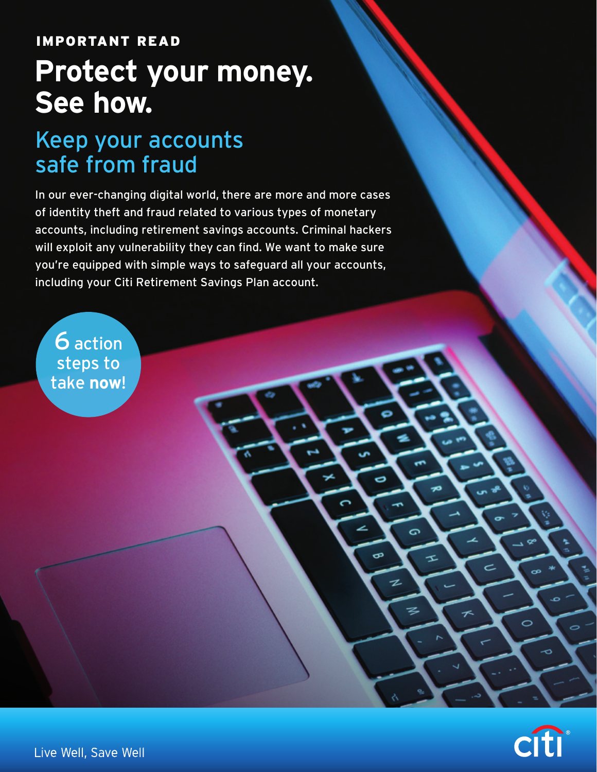## IMPORTANT READ

# **Protect your money. See how.**

## Keep your accounts safe from fraud

In our ever-changing digital world, there are more and more cases of identity theft and fraud related to various types of monetary accounts, including retirement savings accounts. Criminal hackers will exploit any vulnerability they can find. We want to make sure you're equipped with simple ways to safeguard all your accounts, including your Citi Retirement Savings Plan account.





Live Well, Save Well